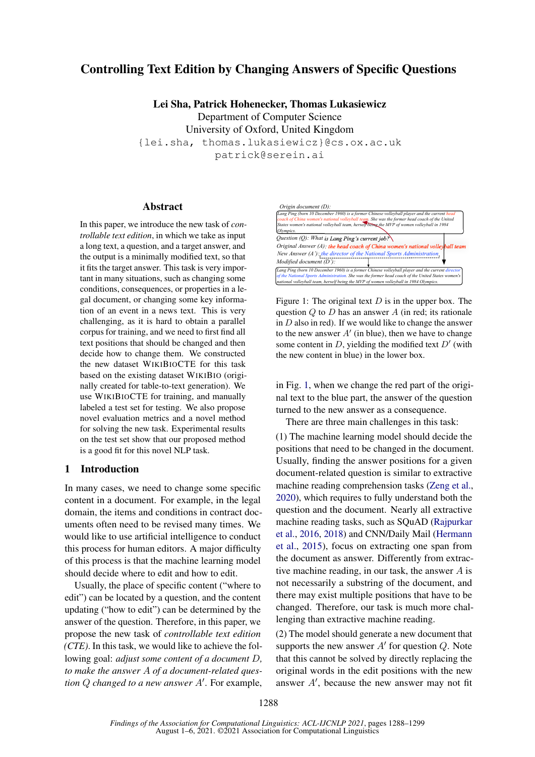# Controlling Text Edition by Changing Answers of Specific Questions

Lei Sha, Patrick Hohenecker, Thomas Lukasiewicz

Department of Computer Science University of Oxford, United Kingdom {lei.sha, thomas.lukasiewicz}@cs.ox.ac.uk patrick@serein.ai

# Abstract

In this paper, we introduce the new task of *controllable text edition*, in which we take as input a long text, a question, and a target answer, and the output is a minimally modified text, so that it fits the target answer. This task is very important in many situations, such as changing some conditions, consequences, or properties in a legal document, or changing some key information of an event in a news text. This is very challenging, as it is hard to obtain a parallel corpus for training, and we need to first find all text positions that should be changed and then decide how to change them. We constructed the new dataset WIKIBIOCTE for this task based on the existing dataset WIKIBIO (originally created for table-to-text generation). We use WIKIBIOCTE for training, and manually labeled a test set for testing. We also propose novel evaluation metrics and a novel method for solving the new task. Experimental results on the test set show that our proposed method is a good fit for this novel NLP task.

### 1 Introduction

In many cases, we need to change some specific content in a document. For example, in the legal domain, the items and conditions in contract documents often need to be revised many times. We would like to use artificial intelligence to conduct this process for human editors. A major difficulty of this process is that the machine learning model should decide where to edit and how to edit.

Usually, the place of specific content ("where to edit") can be located by a question, and the content updating ("how to edit") can be determined by the answer of the question. Therefore, in this paper, we propose the new task of *controllable text edition (CTE)*. In this task, we would like to achieve the following goal: *adjust some content of a document* D*, to make the answer* A *of a document-related question*  $Q$  *changed to a new answer*  $A'$ . For example,

<span id="page-0-0"></span>

Figure 1: The original text  $D$  is in the upper box. The question  $\ddot{Q}$  to  $\ddot{D}$  has an answer  $\ddot{A}$  (in red; its rationale in  $D$  also in red). If we would like to change the answer to the new answer  $A'$  (in blue), then we have to change some content in  $D$ , yielding the modified text  $D'$  (with the new content in blue) in the lower box.

in Fig. [1,](#page-0-0) when we change the red part of the original text to the blue part, the answer of the question turned to the new answer as a consequence.

There are three main challenges in this task:

task of con-<br>
East control december and the control december (the ping of the current control december ( $\theta$ ) ( $\theta$ ) December 20 December 20 December 20 December 20 December 20 December 20 December 20 December 20 December (1) The machine learning model should decide the positions that need to be changed in the document. Usually, finding the answer positions for a given document-related question is similar to extractive machine reading comprehension tasks [\(Zeng et al.,](#page-10-0) [2020\)](#page-10-0), which requires to fully understand both the question and the document. Nearly all extractive machine reading tasks, such as SQuAD [\(Rajpurkar](#page-9-0) [et al.,](#page-9-0) [2016,](#page-9-0) [2018\)](#page-9-1) and CNN/Daily Mail [\(Hermann](#page-8-0) [et al.,](#page-8-0) [2015\)](#page-8-0), focus on extracting one span from the document as answer. Differently from extractive machine reading, in our task, the answer A is not necessarily a substring of the document, and there may exist multiple positions that have to be changed. Therefore, our task is much more challenging than extractive machine reading.

(2) The model should generate a new document that supports the new answer  $A'$  for question  $Q$ . Note that this cannot be solved by directly replacing the original words in the edit positions with the new answer  $A'$ , because the new answer may not fit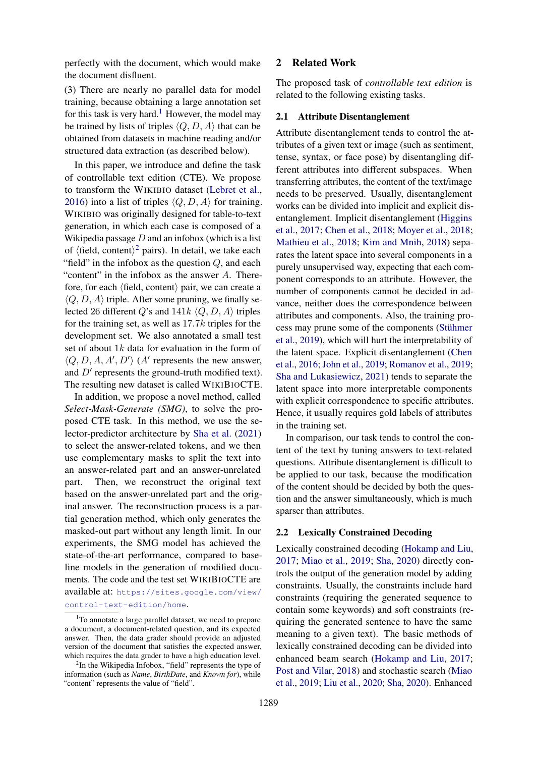perfectly with the document, which would make the document disfluent.

(3) There are nearly no parallel data for model training, because obtaining a large annotation set for this task is very hard.<sup>[1](#page-1-0)</sup> However, the model may be trained by lists of triples  $\langle Q, D, A \rangle$  that can be obtained from datasets in machine reading and/or structured data extraction (as described below).

In this paper, we introduce and define the task of controllable text edition (CTE). We propose to transform the WIKIBIO dataset [\(Lebret et al.,](#page-9-2) [2016\)](#page-9-2) into a list of triples  $\langle Q, D, A \rangle$  for training. WIKIBIO was originally designed for table-to-text generation, in which each case is composed of a Wikipedia passage  $D$  and an infobox (which is a list of  $\langle$  field, content $\rangle$ <sup>[2](#page-1-1)</sup> pairs). In detail, we take each "field" in the infobox as the question  $Q$ , and each "content" in the infobox as the answer  $A$ . Therefore, for each  $\langle$  field, content $\rangle$  pair, we can create a  $\langle Q, D, A \rangle$  triple. After some pruning, we finally selected 26 different Q's and  $141k \langle Q, D, A \rangle$  triples for the training set, as well as 17.7k triples for the development set. We also annotated a small test set of about  $1k$  data for evaluation in the form of  $\langle Q, D, A, A', D' \rangle$  (A' represents the new answer, and  $D'$  represents the ground-truth modified text). The resulting new dataset is called WIKIBIOCTE.

In addition, we propose a novel method, called *Select-Mask-Generate (SMG)*, to solve the proposed CTE task. In this method, we use the selector-predictor architecture by [Sha et al.](#page-10-1) [\(2021\)](#page-10-1) to select the answer-related tokens, and we then use complementary masks to split the text into an answer-related part and an answer-unrelated part. Then, we reconstruct the original text based on the answer-unrelated part and the original answer. The reconstruction process is a partial generation method, which only generates the masked-out part without any length limit. In our experiments, the SMG model has achieved the state-of-the-art performance, compared to baseline models in the generation of modified documents. The code and the test set WIKIBIOCTE are available at: [https://sites.google.com/view/](https://sites.google.com/view/control-text-edition/home)

[control-text-edition/home](https://sites.google.com/view/control-text-edition/home).

### 2 Related Work

The proposed task of *controllable text edition* is related to the following existing tasks.

# 2.1 Attribute Disentanglement

Attribute disentanglement tends to control the attributes of a given text or image (such as sentiment, tense, syntax, or face pose) by disentangling different attributes into different subspaces. When transferring attributes, the content of the text/image needs to be preserved. Usually, disentanglement works can be divided into implicit and explicit disentanglement. Implicit disentanglement [\(Higgins](#page-8-1) [et al.,](#page-8-1) [2017;](#page-8-1) [Chen et al.,](#page-8-2) [2018;](#page-8-2) [Moyer et al.,](#page-9-3) [2018;](#page-9-3) [Mathieu et al.,](#page-9-4) [2018;](#page-9-4) [Kim and Mnih,](#page-9-5) [2018\)](#page-9-5) separates the latent space into several components in a purely unsupervised way, expecting that each component corresponds to an attribute. However, the number of components cannot be decided in advance, neither does the correspondence between attributes and components. Also, the training process may prune some of the components [\(Stühmer](#page-10-2) [et al.,](#page-10-2) [2019\)](#page-10-2), which will hurt the interpretability of the latent space. Explicit disentanglement [\(Chen](#page-8-3) [et al.,](#page-8-3) [2016;](#page-8-3) [John et al.,](#page-9-6) [2019;](#page-9-6) [Romanov et al.,](#page-10-3) [2019;](#page-10-3) [Sha and Lukasiewicz,](#page-10-4) [2021\)](#page-10-4) tends to separate the latent space into more interpretable components with explicit correspondence to specific attributes. Hence, it usually requires gold labels of attributes in the training set.

In comparison, our task tends to control the content of the text by tuning answers to text-related questions. Attribute disentanglement is difficult to be applied to our task, because the modification of the content should be decided by both the question and the answer simultaneously, which is much sparser than attributes.

# 2.2 Lexically Constrained Decoding

Lexically constrained decoding [\(Hokamp and Liu,](#page-9-7) [2017;](#page-9-7) [Miao et al.,](#page-9-8) [2019;](#page-9-8) [Sha,](#page-10-5) [2020\)](#page-10-5) directly controls the output of the generation model by adding constraints. Usually, the constraints include hard constraints (requiring the generated sequence to contain some keywords) and soft constraints (requiring the generated sentence to have the same meaning to a given text). The basic methods of lexically constrained decoding can be divided into enhanced beam search [\(Hokamp and Liu,](#page-9-7) [2017;](#page-9-7) [Post and Vilar,](#page-9-9) [2018\)](#page-9-9) and stochastic search [\(Miao](#page-9-8) [et al.,](#page-9-8) [2019;](#page-9-8) [Liu et al.,](#page-9-10) [2020;](#page-9-10) [Sha,](#page-10-5) [2020\)](#page-10-5). Enhanced

<span id="page-1-0"></span><sup>&</sup>lt;sup>1</sup>To annotate a large parallel dataset, we need to prepare a document, a document-related question, and its expected answer. Then, the data grader should provide an adjusted version of the document that satisfies the expected answer, which requires the data grader to have a high education level.

<span id="page-1-1"></span><sup>&</sup>lt;sup>2</sup>In the Wikipedia Infobox, "field" represents the type of information (such as *Name*, *BirthDate*, and *Known for*), while "content" represents the value of "field".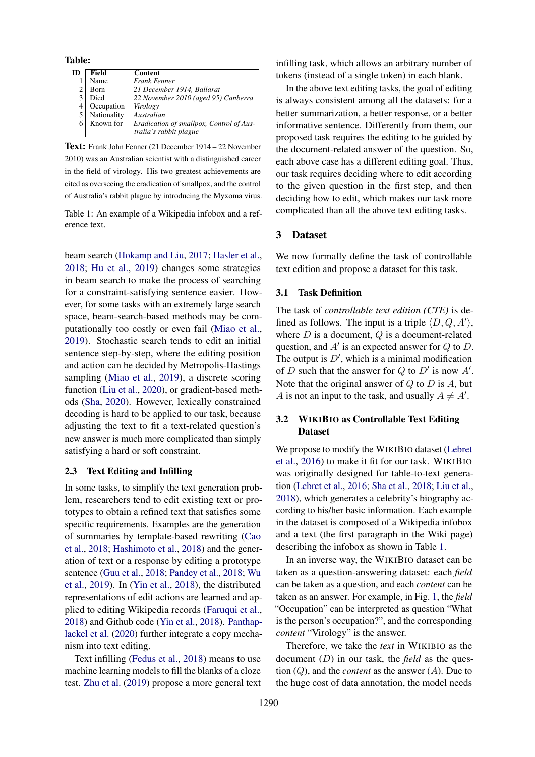<span id="page-2-0"></span>Table:

| ID | Field       | <b>Content</b>                           |
|----|-------------|------------------------------------------|
|    | Name        | <b>Frank Fenner</b>                      |
|    | Born        | 21 December 1914, Ballarat               |
| 3  | Died        | 22 November 2010 (aged 95) Canberra      |
|    | Occupation  | Virology                                 |
|    | Nationality | Australian                               |
| 6  | Known for   | Eradication of smallpox, Control of Aus- |
|    |             | tralia's rabbit plague                   |

Text: Frank John Fenner (21 December 1914 – 22 November 2010) was an Australian scientist with a distinguished career in the field of virology. His two greatest achievements are cited as overseeing the eradication of smallpox, and the control of Australia's rabbit plague by introducing the Myxoma virus.

Table 1: An example of a Wikipedia infobox and a reference text.

beam search [\(Hokamp and Liu,](#page-9-7) [2017;](#page-9-7) [Hasler et al.,](#page-8-4) [2018;](#page-8-4) [Hu et al.,](#page-9-11) [2019\)](#page-9-11) changes some strategies in beam search to make the process of searching for a constraint-satisfying sentence easier. However, for some tasks with an extremely large search space, beam-search-based methods may be computationally too costly or even fail [\(Miao et al.,](#page-9-8) [2019\)](#page-9-8). Stochastic search tends to edit an initial sentence step-by-step, where the editing position and action can be decided by Metropolis-Hastings sampling [\(Miao et al.,](#page-9-8) [2019\)](#page-9-8), a discrete scoring function [\(Liu et al.,](#page-9-10) [2020\)](#page-9-10), or gradient-based methods [\(Sha,](#page-10-5) [2020\)](#page-10-5). However, lexically constrained decoding is hard to be applied to our task, because adjusting the text to fit a text-related question's new answer is much more complicated than simply satisfying a hard or soft constraint.

#### 2.3 Text Editing and Infilling

In some tasks, to simplify the text generation problem, researchers tend to edit existing text or prototypes to obtain a refined text that satisfies some specific requirements. Examples are the generation of summaries by template-based rewriting [\(Cao](#page-8-5) [et al.,](#page-8-5) [2018;](#page-8-5) [Hashimoto et al.,](#page-8-6) [2018\)](#page-8-6) and the generation of text or a response by editing a prototype sentence [\(Guu et al.,](#page-8-7) [2018;](#page-8-7) [Pandey et al.,](#page-9-12) [2018;](#page-9-12) [Wu](#page-10-6) [et al.,](#page-10-6) [2019\)](#page-10-6). In [\(Yin et al.,](#page-10-7) [2018\)](#page-10-7), the distributed representations of edit actions are learned and applied to editing Wikipedia records [\(Faruqui et al.,](#page-8-8) [2018\)](#page-8-8) and Github code [\(Yin et al.,](#page-10-7) [2018\)](#page-10-7). [Panthap](#page-9-13)[lackel et al.](#page-9-13) [\(2020\)](#page-9-13) further integrate a copy mechanism into text editing.

Text infilling [\(Fedus et al.,](#page-8-9) [2018\)](#page-8-9) means to use machine learning models to fill the blanks of a cloze test. [Zhu et al.](#page-10-8) [\(2019\)](#page-10-8) propose a more general text infilling task, which allows an arbitrary number of tokens (instead of a single token) in each blank.

In the above text editing tasks, the goal of editing is always consistent among all the datasets: for a better summarization, a better response, or a better informative sentence. Differently from them, our proposed task requires the editing to be guided by the document-related answer of the question. So, each above case has a different editing goal. Thus, our task requires deciding where to edit according to the given question in the first step, and then deciding how to edit, which makes our task more complicated than all the above text editing tasks.

# 3 Dataset

We now formally define the task of controllable text edition and propose a dataset for this task.

#### 3.1 Task Definition

The task of *controllable text edition (CTE)* is defined as follows. The input is a triple  $\langle D, Q, A' \rangle$ , where  $D$  is a document,  $Q$  is a document-related question, and  $A'$  is an expected answer for  $Q$  to  $D$ . The output is  $D'$ , which is a minimal modification of D such that the answer for Q to  $D'$  is now  $A'$ . Note that the original answer of  $Q$  to  $D$  is  $A$ , but A is not an input to the task, and usually  $A \neq A'$ .

# 3.2 WIKIBIO as Controllable Text Editing Dataset

We propose to modify the WIKIBIO dataset [\(Lebret](#page-9-2) [et al.,](#page-9-2) [2016\)](#page-9-2) to make it fit for our task. WIKIBIO was originally designed for table-to-text generation [\(Lebret et al.,](#page-9-2) [2016;](#page-9-2) [Sha et al.,](#page-10-9) [2018;](#page-10-9) [Liu et al.,](#page-9-14) [2018\)](#page-9-14), which generates a celebrity's biography according to his/her basic information. Each example in the dataset is composed of a Wikipedia infobox and a text (the first paragraph in the Wiki page) describing the infobox as shown in Table [1.](#page-2-0)

In an inverse way, the WIKIBIO dataset can be taken as a question-answering dataset: each *field* can be taken as a question, and each *content* can be taken as an answer. For example, in Fig. [1,](#page-2-0) the *field* "Occupation" can be interpreted as question "What is the person's occupation?", and the corresponding *content* "Virology" is the answer.

Therefore, we take the *text* in WIKIBIO as the document (D) in our task, the *field* as the question (Q), and the *content* as the answer (A). Due to the huge cost of data annotation, the model needs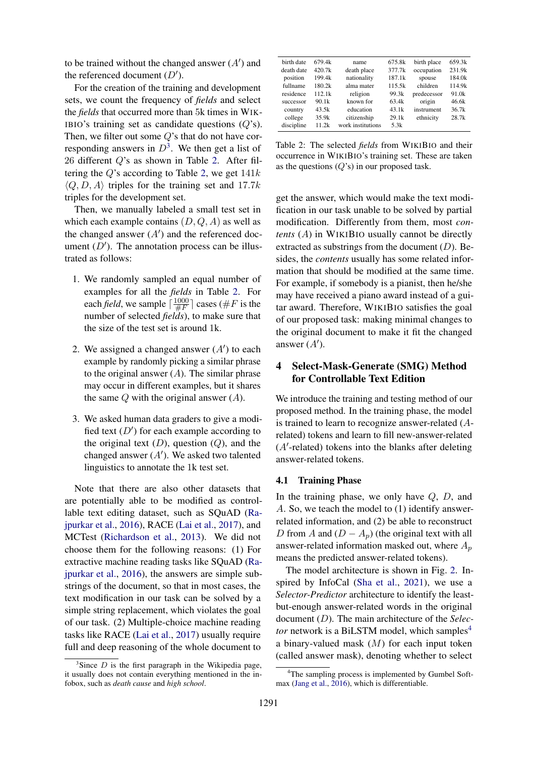to be trained without the changed answer  $(A')$  and the referenced document  $(D')$ .

For the creation of the training and development sets, we count the frequency of *fields* and select the *fields* that occurred more than 5k times in WIK-IBIO's training set as candidate questions  $(Q's)$ . Then, we filter out some  $Q$ 's that do not have corresponding answers in  $D^3$  $D^3$ . We then get a list of 26 different Q's as shown in Table [2.](#page-3-1) After filtering the  $Q$ 's according to Table [2,](#page-3-1) we get  $141k$  $\langle Q, D, A \rangle$  triples for the training set and 17.7k triples for the development set.

Then, we manually labeled a small test set in which each example contains  $(D, Q, A)$  as well as the changed answer  $(A')$  and the referenced document  $(D')$ . The annotation process can be illustrated as follows:

- 1. We randomly sampled an equal number of examples for all the *fields* in Table [2.](#page-3-1) For each *field*, we sample  $\lceil \frac{1000}{\#F} \rceil$  $\frac{1000}{\#F}$  cases (#F is the number of selected *fields*), to make sure that the size of the test set is around 1k.
- 2. We assigned a changed answer  $(A')$  to each example by randomly picking a similar phrase to the original answer  $(A)$ . The similar phrase may occur in different examples, but it shares the same  $Q$  with the original answer  $(A)$ .
- 3. We asked human data graders to give a modified text  $(D')$  for each example according to the original text  $(D)$ , question  $(Q)$ , and the changed answer  $(A')$ . We asked two talented linguistics to annotate the 1k test set.

Note that there are also other datasets that are potentially able to be modified as controllable text editing dataset, such as SQuAD [\(Ra](#page-9-0)[jpurkar et al.,](#page-9-0) [2016\)](#page-9-0), RACE [\(Lai et al.,](#page-9-15) [2017\)](#page-9-15), and MCTest [\(Richardson et al.,](#page-9-16) [2013\)](#page-9-16). We did not choose them for the following reasons: (1) For extractive machine reading tasks like SQuAD [\(Ra](#page-9-0)[jpurkar et al.,](#page-9-0) [2016\)](#page-9-0), the answers are simple substrings of the document, so that in most cases, the text modification in our task can be solved by a simple string replacement, which violates the goal of our task. (2) Multiple-choice machine reading tasks like RACE [\(Lai et al.,](#page-9-15) [2017\)](#page-9-15) usually require full and deep reasoning of the whole document to

<span id="page-3-1"></span>

| 679.4k | name              | 675.8k | birth place | 659.3k |
|--------|-------------------|--------|-------------|--------|
| 420.7k | death place       | 377.7k | occupation  | 231.9k |
| 199.4k | nationality       | 187.1k | spouse      | 184.0k |
| 180.2k | alma mater        | 115.5k | children    | 114.9k |
| 112.1k | religion          | 99.3k  | predecessor | 91.0k  |
| 90.1k  | known for         | 63.4k  | origin      | 46.6k  |
| 43.5k  | education         | 43.1k  | instrument  | 36.7k  |
| 35.9k  | citizenship       | 29.1k  | ethnicity   | 28.7k  |
| 11 2k  | work institutions | 5.3k   |             |        |
|        |                   |        |             |        |

Table 2: The selected *fields* from WIKIBIO and their occurrence in WIKIBIO's training set. These are taken as the questions  $(Q's)$  in our proposed task.

get the answer, which would make the text modification in our task unable to be solved by partial modification. Differently from them, most *contents* (A) in WIKIBIO usually cannot be directly extracted as substrings from the document  $(D)$ . Besides, the *contents* usually has some related information that should be modified at the same time. For example, if somebody is a pianist, then he/she may have received a piano award instead of a guitar award. Therefore, WIKIBIO satisfies the goal of our proposed task: making minimal changes to the original document to make it fit the changed answer  $(A')$ .

# 4 Select-Mask-Generate (SMG) Method for Controllable Text Edition

We introduce the training and testing method of our proposed method. In the training phase, the model is trained to learn to recognize answer-related (Arelated) tokens and learn to fill new-answer-related  $(A'$ -related) tokens into the blanks after deleting answer-related tokens.

#### 4.1 Training Phase

In the training phase, we only have  $Q$ ,  $D$ , and A. So, we teach the model to (1) identify answerrelated information, and (2) be able to reconstruct D from A and  $(D - A_p)$  (the original text with all answer-related information masked out, where  $A_n$ means the predicted answer-related tokens).

The model architecture is shown in Fig. [2.](#page-4-0) Inspired by InfoCal [\(Sha et al.,](#page-10-1) [2021\)](#page-10-1), we use a *Selector-Predictor* architecture to identify the leastbut-enough answer-related words in the original document (D). The main architecture of the *Selector* network is a BiLSTM model, which samples<sup>[4](#page-3-2)</sup> a binary-valued mask  $(M)$  for each input token (called answer mask), denoting whether to select

<span id="page-3-0"></span> $3$ Since D is the first paragraph in the Wikipedia page, it usually does not contain everything mentioned in the infobox, such as *death cause* and *high school*.

<span id="page-3-2"></span><sup>&</sup>lt;sup>4</sup>The sampling process is implemented by Gumbel Softmax [\(Jang et al.,](#page-9-17) [2016\)](#page-9-17), which is differentiable.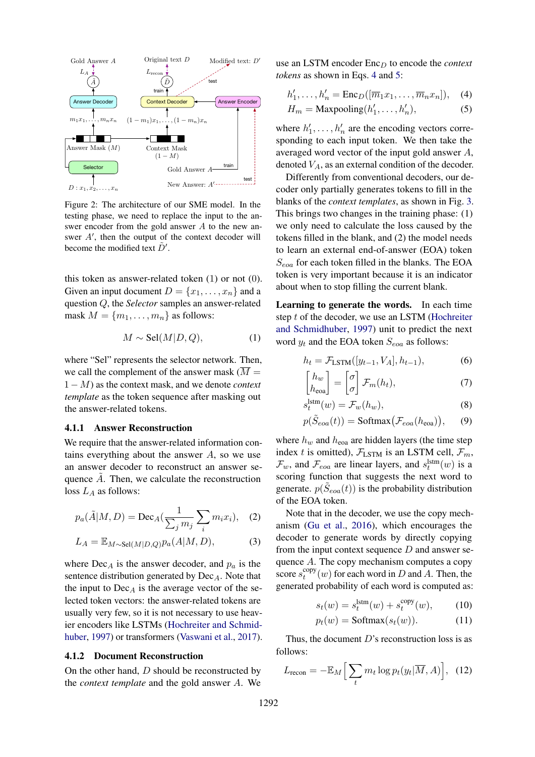<span id="page-4-0"></span>

Figure 2: The architecture of our SME model. In the testing phase, we need to replace the input to the answer encoder from the gold answer A to the new answer  $A'$ , then the output of the context decoder will become the modified text  $\tilde{D}'$ .

this token as answer-related token (1) or not (0). Given an input document  $D = \{x_1, \ldots, x_n\}$  and a question Q, the *Selector* samples an answer-related mask  $M = \{m_1, \ldots, m_n\}$  as follows:

$$
M \sim \text{Sel}(M|D, Q), \tag{1}
$$

where "Sel" represents the selector network. Then, we call the complement of the answer mask  $(\overline{M} =$ 1 − M) as the context mask, and we denote *context template* as the token sequence after masking out the answer-related tokens.

#### 4.1.1 Answer Reconstruction

We require that the answer-related information contains everything about the answer  $A$ , so we use an answer decoder to reconstruct an answer sequence  $\tilde{A}$ . Then, we calculate the reconstruction loss  $L_A$  as follows:

$$
p_a(\tilde{A}|M,D) = \text{Dec}_A(\frac{1}{\sum_j m_j} \sum_i m_i x_i), \quad (2)
$$

$$
L_A = \mathbb{E}_{M \sim \text{Sel}(M|D,Q)} p_a(A|M,D), \tag{3}
$$

where  $Dec_A$  is the answer decoder, and  $p_a$  is the sentence distribution generated by  $Dec_A$ . Note that the input to  $Dec_A$  is the average vector of the selected token vectors: the answer-related tokens are usually very few, so it is not necessary to use heavier encoders like LSTMs [\(Hochreiter and Schmid](#page-8-10)[huber,](#page-8-10) [1997\)](#page-8-10) or transformers [\(Vaswani et al.,](#page-10-10) [2017\)](#page-10-10).

#### 4.1.2 Document Reconstruction

On the other hand, D should be reconstructed by the *context template* and the gold answer A. We use an LSTM encoder Enc<sub>D</sub> to encode the *context tokens* as shown in Eqs. [4](#page-4-1) and [5:](#page-4-2)

<span id="page-4-2"></span><span id="page-4-1"></span>
$$
h'_1, \dots, h'_n = \text{Enc}_D([\overline{m}_1 x_1, \dots, \overline{m}_n x_n]), \quad (4)
$$

$$
H_m = \text{Maxpooling}(h'_1, \dots, h'_n),\tag{5}
$$

where  $h'_1, \ldots, h'_n$  are the encoding vectors corresponding to each input token. We then take the averaged word vector of the input gold answer A, denoted  $V_A$ , as an external condition of the decoder.

Differently from conventional decoders, our decoder only partially generates tokens to fill in the blanks of the *context templates*, as shown in Fig. [3.](#page-5-0) This brings two changes in the training phase: (1) we only need to calculate the loss caused by the tokens filled in the blank, and (2) the model needs to learn an external end-of-answer (EOA) token  $S_{eoa}$  for each token filled in the blanks. The EOA token is very important because it is an indicator about when to stop filling the current blank.

Learning to generate the words. In each time step t of the decoder, we use an LSTM [\(Hochreiter](#page-8-10) [and Schmidhuber,](#page-8-10) [1997\)](#page-8-10) unit to predict the next word  $y_t$  and the EOA token  $S_{eoa}$  as follows:

$$
h_t = \mathcal{F}_{\text{LSTM}}([y_{t-1}, V_A], h_{t-1}),\tag{6}
$$

$$
\begin{bmatrix} h_w \\ h_{\text{eoa}} \end{bmatrix} = \begin{bmatrix} \sigma \\ \sigma \end{bmatrix} \mathcal{F}_m(h_t), \tag{7}
$$

$$
s_t^{\text{lstm}}(w) = \mathcal{F}_w(h_w),\tag{8}
$$

<span id="page-4-4"></span>
$$
p(\tilde{S}_{eoa}(t)) = \text{Softmax}(\mathcal{F}_{eoa}(h_{eoa})), \qquad (9)
$$

where  $h_w$  and  $h_{\text{eoa}}$  are hidden layers (the time step index t is omitted),  $\mathcal{F}_{\text{LSTM}}$  is an LSTM cell,  $\mathcal{F}_m$ ,  $\mathcal{F}_w$ , and  $\mathcal{F}_{eoa}$  are linear layers, and  $s_t^{\text{Istm}}(w)$  is a scoring function that suggests the next word to generate.  $p(\tilde{S}_{eoa}(t))$  is the probability distribution of the EOA token.

Note that in the decoder, we use the copy mechanism [\(Gu et al.,](#page-8-11) [2016\)](#page-8-11), which encourages the decoder to generate words by directly copying from the input context sequence  $D$  and answer sequence A. The copy mechanism computes a copy score  $s_t^{\text{copy}}$  $_{t}^{copy}(w)$  for each word in D and A. Then, the generated probability of each word is computed as:

$$
s_t(w) = s_t^{\text{lstm}}(w) + s_t^{\text{copy}}(w), \qquad (10)
$$

<span id="page-4-3"></span>
$$
p_t(w) = \text{Softmax}(s_t(w)). \tag{11}
$$

Thus, the document  $D$ 's reconstruction loss is as follows:

$$
L_{\text{recon}} = -\mathbb{E}_M \Big[ \sum_t m_t \log p_t(y_t | \overline{M}, A) \Big], \quad (12)
$$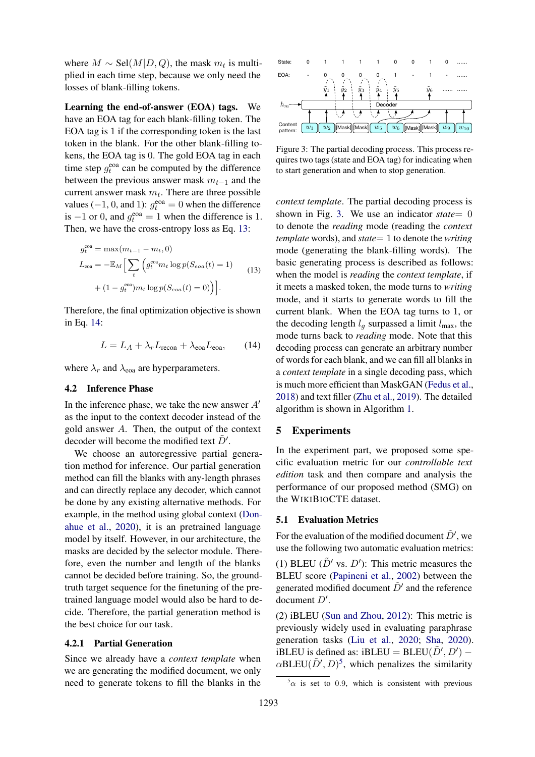where  $M \sim \text{Sel}(M|D, Q)$ , the mask  $m_t$  is multiplied in each time step, because we only need the losses of blank-filling tokens.

Learning the end-of-answer (EOA) tags. We have an EOA tag for each blank-filling token. The EOA tag is 1 if the corresponding token is the last token in the blank. For the other blank-filling tokens, the EOA tag is 0. The gold EOA tag in each time step  $g_t^{\text{eoa}}$  can be computed by the difference between the previous answer mask  $m_{t-1}$  and the current answer mask  $m_t$ . There are three possible values (-1, 0, and 1):  $g_t^{\text{eoa}} = 0$  when the difference is  $-1$  or 0, and  $g_t^{\text{eoa}} = 1$  when the difference is 1. Then, we have the cross-entropy loss as Eq. [13:](#page-5-1)

$$
g_t^{\text{eoa}} = \max(m_{t-1} - m_t, 0)
$$
  
\n
$$
L_{\text{eoa}} = -\mathbb{E}_M \Big[ \sum_t \Big( g_t^{\text{eoa}} m_t \log p(S_{\text{eoa}}(t) = 1) + (1 - g_t^{\text{eoa}}) m_t \log p(S_{\text{eoa}}(t) = 0) \Big) \Big].
$$
\n(13)

Therefore, the final optimization objective is shown in Eq. [14:](#page-5-2)

<span id="page-5-2"></span>
$$
L = L_A + \lambda_r L_{\text{recon}} + \lambda_{\text{coa}} L_{\text{coa}}, \qquad (14)
$$

where  $\lambda_r$  and  $\lambda_{\text{eoa}}$  are hyperparameters.

#### 4.2 Inference Phase

In the inference phase, we take the new answer  $A'$ as the input to the context decoder instead of the gold answer A. Then, the output of the context decoder will become the modified text  $\tilde{D}'$ .

We choose an autoregressive partial generation method for inference. Our partial generation method can fill the blanks with any-length phrases and can directly replace any decoder, which cannot be done by any existing alternative methods. For example, in the method using global context [\(Don](#page-8-12)[ahue et al.,](#page-8-12) [2020\)](#page-8-12), it is an pretrained language model by itself. However, in our architecture, the masks are decided by the selector module. Therefore, even the number and length of the blanks cannot be decided before training. So, the groundtruth target sequence for the finetuning of the pretrained language model would also be hard to decide. Therefore, the partial generation method is the best choice for our task.

#### 4.2.1 Partial Generation

Since we already have a *context template* when we are generating the modified document, we only need to generate tokens to fill the blanks in the

<span id="page-5-0"></span>

Figure 3: The partial decoding process. This process requires two tags (state and EOA tag) for indicating when to start generation and when to stop generation.

<span id="page-5-1"></span>*context template*. The partial decoding process is shown in Fig. [3.](#page-5-0) We use an indicator *state*= 0 to denote the *reading* mode (reading the *context template* words), and *state*= 1 to denote the *writing* mode (generating the blank-filling words). The basic generating process is described as follows: when the model is *reading* the *context template*, if it meets a masked token, the mode turns to *writing* mode, and it starts to generate words to fill the current blank. When the EOA tag turns to 1, or the decoding length  $l_q$  surpassed a limit  $l_{\text{max}}$ , the mode turns back to *reading* mode. Note that this decoding process can generate an arbitrary number of words for each blank, and we can fill all blanks in a *context template* in a single decoding pass, which is much more efficient than MaskGAN [\(Fedus et al.,](#page-8-9) [2018\)](#page-8-9) and text filler [\(Zhu et al.,](#page-10-8) [2019\)](#page-10-8). The detailed algorithm is shown in Algorithm [1.](#page-6-0)

### 5 Experiments

In the experiment part, we proposed some specific evaluation metric for our *controllable text edition* task and then compare and analysis the performance of our proposed method (SMG) on the WIKIBIOCTE dataset.

### 5.1 Evaluation Metrics

For the evaluation of the modified document  $\tilde{D}'$ , we use the following two automatic evaluation metrics:

(1) BLEU ( $\tilde{D}'$  vs.  $D'$ ): This metric measures the BLEU score [\(Papineni et al.,](#page-9-18) [2002\)](#page-9-18) between the generated modified document  $\tilde{D}'$  and the reference document  $D'$ .

(2) iBLEU [\(Sun and Zhou,](#page-10-11) [2012\)](#page-10-11): This metric is previously widely used in evaluating paraphrase generation tasks [\(Liu et al.,](#page-9-10) [2020;](#page-9-10) [Sha,](#page-10-5) [2020\)](#page-10-5). iBLEU is defined as: iBLEU = BLEU( $\tilde{D}', D'$ ) –  $\alpha$ BLEU( $\tilde{D}', D$ )<sup>[5](#page-5-3)</sup>, which penalizes the similarity

<span id="page-5-3"></span> $5\alpha$  is set to 0.9, which is consistent with previous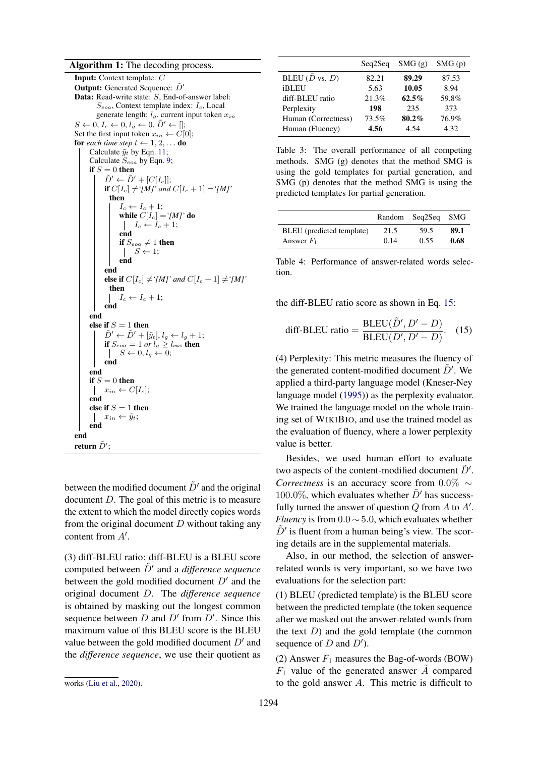# Algorithm 1: The decoding process.

Input: Context template: C **Output:** Generated Sequence:  $\tilde{D}'$ Data: Read-write state: S, End-of-answer label:  $S_{eoa}$ , Context template index:  $I_c$ , Local generate length:  $l_g$ , current input token  $x_{in}$  $S \leftarrow 0, I_c \leftarrow 0, l_g \leftarrow 0, \tilde{D}' \leftarrow [];$ Set the first input token  $x_{in} \leftarrow \overrightarrow{C}[0];$ for *each time step*  $t \leftarrow 1, 2, \ldots$  do Calculate  $\tilde{y}_t$  by Eqn. [11;](#page-4-3) Calculate  $S_{eoa}$  by Eqn. [9;](#page-4-4) if  $S = 0$  then  $\tilde{D}' \leftarrow \tilde{D}' + [C[I_c]];$ if  $C[I_c] \neq [M]'$  and  $C[I_c + 1] = [M]'$ then  $I_c \leftarrow I_c + 1;$ while  $C[I_c] = '[M]'$  do  $I_c \leftarrow I_c + 1;$ end if  $S_{eoa} \neq 1$  then  $\vert S \leftarrow 1;$ end end else if  $C[I_c] \neq '[M]'$  and  $C[I_c + 1] \neq '[M]'$ then  $\vert I_c \leftarrow I_c + 1;$ end end else if  $S = 1$  then  $\tilde{D}' \leftarrow \tilde{D}' + [\tilde{y}_t], l_q \leftarrow l_q + 1;$ if  $S_{eoa} = 1$  *or*  $l_g \geq l_{max}$  then  $\vert S \leftarrow 0, l_g \leftarrow 0;$ end end if  $S = 0$  then  $x_{in} \leftarrow C[I_c];$ end else if  $S = 1$  then  $\vert x_{in} \leftarrow \tilde{y}_t;$ end end return  $\tilde{D}^{\prime};$ 

<span id="page-6-0"></span>between the modified document  $\tilde{D}'$  and the original document D. The goal of this metric is to measure the extent to which the model directly copies words from the original document  $D$  without taking any content from  $A'$ .

(3) diff-BLEU ratio: diff-BLEU is a BLEU score computed between  $\tilde{D}'$  and a *difference sequence* between the gold modified document  $D'$  and the original document D. The *difference sequence* is obtained by masking out the longest common sequence between  $D$  and  $D'$  from  $D'$ . Since this maximum value of this BLEU score is the BLEU value between the gold modified document  $D'$  and the *difference sequence*, we use their quotient as

<span id="page-6-2"></span>

|                           | Seg2Seg | SMG(g)   | SMG(p) |
|---------------------------|---------|----------|--------|
| BLEU $(D \text{ vs. } D)$ | 82.21   | 89.29    | 87.53  |
| <b>iBLEU</b>              | 5.63    | 10.05    | 8.94   |
| diff-BLEU ratio           | 21.3%   | $62.5\%$ | 59.8%  |
| Perplexity                | 198     | 235      | 373    |
| Human (Correctness)       | 73.5%   | $80.2\%$ | 76.9%  |
| Human (Fluency)           | 4.56    | 4.54     | 4.32   |

Table 3: The overall performance of all competing methods. SMG (g) denotes that the method SMG is using the gold templates for partial generation, and SMG (p) denotes that the method SMG is using the predicted templates for partial generation.

<span id="page-6-3"></span>

|                           |      | Random Seq2Seq | SMG  |
|---------------------------|------|----------------|------|
| BLEU (predicted template) | 21.5 | 59.5           | 89.1 |
| Answer $F_1$              | 0.14 | 0.55           | 0.68 |

Table 4: Performance of answer-related words selection.

the diff-BLEU ratio score as shown in Eq. [15:](#page-6-1)

<span id="page-6-1"></span>diff-BLEU ratio = 
$$
\frac{\text{BLEU}(\tilde{D}', D' - D)}{\text{BLEU}(D', D' - D)}.
$$
 (15)

(4) Perplexity: This metric measures the fluency of the generated content-modified document  $\tilde{D}'$ . We applied a third-party language model (Kneser-Ney language model [\(1995\)](#page-9-19)) as the perplexity evaluator. We trained the language model on the whole training set of WIKIBIO, and use the trained model as the evaluation of fluency, where a lower perplexity value is better.

Besides, we used human effort to evaluate two aspects of the content-modified document  $\tilde{D}'$ . *Correctness* is an accuracy score from 0.0% ∼ 100.0%, which evaluates whether  $\ddot{D}'$  has successfully turned the answer of question  $Q$  from  $A$  to  $A'$ . *Fluency* is from 0.0 ∼ 5.0, which evaluates whether  $\tilde{D}'$  is fluent from a human being's view. The scoring details are in the supplemental materials.

Also, in our method, the selection of answerrelated words is very important, so we have two evaluations for the selection part:

(1) BLEU (predicted template) is the BLEU score between the predicted template (the token sequence after we masked out the answer-related words from the text  $D$ ) and the gold template (the common sequence of  $D$  and  $D'$ ).

(2) Answer  $F_1$  measures the Bag-of-words (BOW)  $F_1$  value of the generated answer A compared to the gold answer A. This metric is difficult to

works [\(Liu et al.,](#page-9-10) [2020\)](#page-9-10).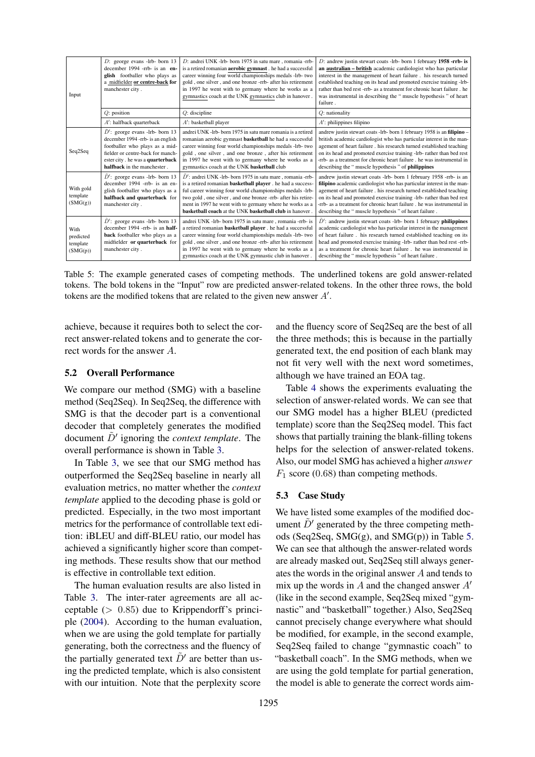<span id="page-7-0"></span>

| Input                                     | $D$ : george evans -lrb- born 13<br>december 1994 -rrb- is an en-<br>glish footballer who plays as<br>a midfielder or centre-back for<br>manchester city.                                                         | D: andrei UNK -lrb- born 1975 in satu mare, romania -rrb-<br>is a retired romanian <b>aerobic</b> gymnast . he had a successful<br>career winning four world championships medals -lrb- two<br>gold, one silver, and one bronze -rrb- after his retirement<br>in 1997 he went with to germany where he works as a<br>gymnastics coach at the UNK gymnastics club in hanover.                 | D: andrew justin stewart coats -lrb- born 1 february 1958 -rrb- is<br>an australian - british academic cardiologist who has particular<br>interest in the management of heart failure. his research turned<br>established teaching on its head and promoted exercise training -lrb-<br>rather than bed rest -rrb- as a treatment for chronic heart failure. he<br>was instrumental in describing the " muscle hypothesis " of heart<br>failure. |
|-------------------------------------------|-------------------------------------------------------------------------------------------------------------------------------------------------------------------------------------------------------------------|----------------------------------------------------------------------------------------------------------------------------------------------------------------------------------------------------------------------------------------------------------------------------------------------------------------------------------------------------------------------------------------------|-------------------------------------------------------------------------------------------------------------------------------------------------------------------------------------------------------------------------------------------------------------------------------------------------------------------------------------------------------------------------------------------------------------------------------------------------|
|                                           | $Q$ : position                                                                                                                                                                                                    | $Q$ : discipline                                                                                                                                                                                                                                                                                                                                                                             | $Q$ : nationality                                                                                                                                                                                                                                                                                                                                                                                                                               |
|                                           | $A'$ : halfback quarterback                                                                                                                                                                                       | $A'$ : basketball player                                                                                                                                                                                                                                                                                                                                                                     | $A'$ : philippines filipino                                                                                                                                                                                                                                                                                                                                                                                                                     |
| Seq2Seq                                   | $D'$ : george evans -lrb- born 13<br>december 1994 - rrb- is an english<br>footballer who plays as a mid-<br>fielder or centre-back for manch-<br>ester city. he was a quarterback<br>halfback in the manchester. | andrei UNK -lrb- born 1975 in satu mare romania is a retired<br>romanian aerobic gymnast basketball he had a successful<br>career winning four world championships medals -lrb- two<br>gold, one silver, and one bronze, after his retirement<br>in 1997 he went with to germany where he works as a<br>gymnastics coach at the UNK basketball club                                          | andrew justin stewart coats -lrb- born 1 february 1958 is an filipino -<br>british academic cardiologist who has particular interest in the man-<br>agement of heart failure . his research turned established teaching<br>on its head and promoted exercise training -lrb- rather than bed rest<br>-rrb- as a treatment for chronic heart failure, he was instrumental in<br>describing the " muscle hypothesis " of philippines               |
| With gold<br>template<br>(SMG(g))         | $D'$ : george evans -lrb- born 13<br>december 1994 -rrb- is an en-<br>glish footballer who plays as a<br>halfback and quarterback for<br>manchester city.                                                         | $\ddot{D}'$ : andrei UNK -lrb- born 1975 in satu mare, romania -rrb-<br>is a retired romanian <b>basketball player</b> . he had a success-<br>ful career winning four world championships medals -lrb-<br>two gold, one silver, and one bronze -rrb- after his retire-<br>ment in 1997 he went with to germany where he works as a<br>basketball coach at the UNK basketball club in hanover | andrew justin stewart coats -lrb- born 1 february 1958 -rrb- is an<br>filipino academic cardiologist who has particular interest in the man-<br>agement of heart failure . his research turned established teaching<br>on its head and promoted exercise training -lrb- rather than bed rest<br>-rrb- as a treatment for chronic heart failure. he was instrumental in<br>describing the " muscle hypothesis " of heart failure.                |
| With<br>predicted<br>template<br>(SMG(p)) | $D'$ : george evans -lrb- born 13<br>december 1994 -rrb- is an half-<br>back footballer who plays as a<br>midfielder or quarterback for<br>manchester city.                                                       | andrei UNK -lrb- born 1975 in satu mare, romania -rrb- is<br>a retired romanian <b>basketball player</b> . he had a successful<br>career winning four world championships medals -lrb- two<br>gold, one silver, and one bronze -rrb- after his retirement<br>in 1997 he went with to germany where he works as a<br>gymnastics coach at the UNK gymnastic club in hanover.                   | $D'$ : andrew justin stewart coats -lrb- born 1 february philippines<br>academic cardiologist who has particular interest in the management<br>of heart failure. his research turned established teaching on its<br>head and promoted exercise training -lrb- rather than bed rest -rrb-<br>as a treatment for chronic heart failure. he was instrumental in<br>describing the "muscle hypothesis" of heart failure.                            |

Table 5: The example generated cases of competing methods. The underlined tokens are gold answer-related tokens. The bold tokens in the "Input" row are predicted answer-related tokens. In the other three rows, the bold tokens are the modified tokens that are related to the given new answer  $A'$ .

achieve, because it requires both to select the correct answer-related tokens and to generate the correct words for the answer A.

## 5.2 Overall Performance

We compare our method (SMG) with a baseline method (Seq2Seq). In Seq2Seq, the difference with SMG is that the decoder part is a conventional decoder that completely generates the modified document  $\tilde{D}'$  ignoring the *context template*. The overall performance is shown in Table [3.](#page-6-2)

In Table [3,](#page-6-2) we see that our SMG method has outperformed the Seq2Seq baseline in nearly all evaluation metrics, no matter whether the *context template* applied to the decoding phase is gold or predicted. Especially, in the two most important metrics for the performance of controllable text edition: iBLEU and diff-BLEU ratio, our model has achieved a significantly higher score than competing methods. These results show that our method is effective in controllable text edition.

The human evaluation results are also listed in Table [3.](#page-6-2) The inter-rater agreements are all acceptable  $(> 0.85)$  due to Krippendorff's principle [\(2004\)](#page-9-20). According to the human evaluation, when we are using the gold template for partially generating, both the correctness and the fluency of the partially generated text  $\tilde{D}'$  are better than using the predicted template, which is also consistent with our intuition. Note that the perplexity score

and the fluency score of Seq2Seq are the best of all the three methods; this is because in the partially generated text, the end position of each blank may not fit very well with the next word sometimes, although we have trained an EOA tag.

Table [4](#page-6-3) shows the experiments evaluating the selection of answer-related words. We can see that our SMG model has a higher BLEU (predicted template) score than the Seq2Seq model. This fact shows that partially training the blank-filling tokens helps for the selection of answer-related tokens. Also, our model SMG has achieved a higher *answer*  $F_1$  score (0.68) than competing methods.

#### 5.3 Case Study

We have listed some examples of the modified document  $D'$  generated by the three competing methods (Seq2Seq, SMG(g), and SMG(p)) in Table [5.](#page-7-0) We can see that although the answer-related words are already masked out, Seq2Seq still always generates the words in the original answer A and tends to mix up the words in A and the changed answer  $A'$ (like in the second example, Seq2Seq mixed "gymnastic" and "basketball" together.) Also, Seq2Seq cannot precisely change everywhere what should be modified, for example, in the second example, Seq2Seq failed to change "gymnastic coach" to "basketball coach". In the SMG methods, when we are using the gold template for partial generation, the model is able to generate the correct words aim-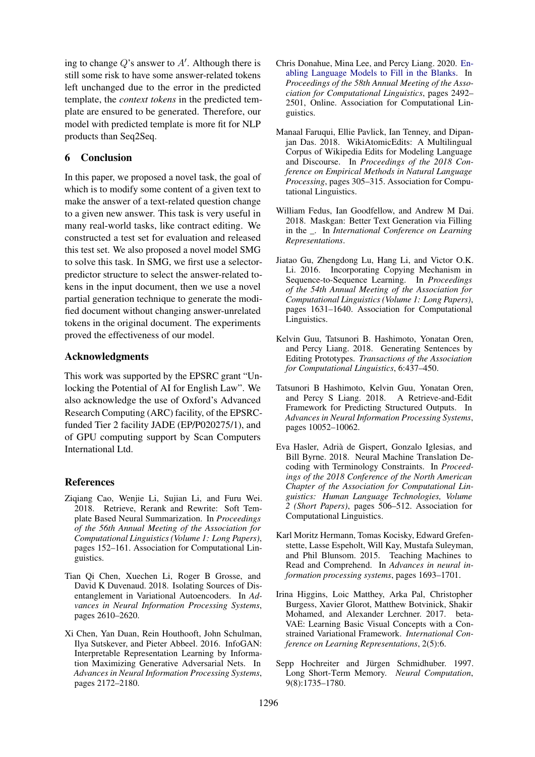ing to change  $Q$ 's answer to  $A'$ . Although there is still some risk to have some answer-related tokens left unchanged due to the error in the predicted template, the *context tokens* in the predicted template are ensured to be generated. Therefore, our model with predicted template is more fit for NLP products than Seq2Seq.

# 6 Conclusion

In this paper, we proposed a novel task, the goal of which is to modify some content of a given text to make the answer of a text-related question change to a given new answer. This task is very useful in many real-world tasks, like contract editing. We constructed a test set for evaluation and released this test set. We also proposed a novel model SMG to solve this task. In SMG, we first use a selectorpredictor structure to select the answer-related tokens in the input document, then we use a novel partial generation technique to generate the modified document without changing answer-unrelated tokens in the original document. The experiments proved the effectiveness of our model.

# Acknowledgments

This work was supported by the EPSRC grant "Unlocking the Potential of AI for English Law". We also acknowledge the use of Oxford's Advanced Research Computing (ARC) facility, of the EPSRCfunded Tier 2 facility JADE (EP/P020275/1), and of GPU computing support by Scan Computers International Ltd.

# References

- <span id="page-8-5"></span>Ziqiang Cao, Wenjie Li, Sujian Li, and Furu Wei. 2018. Retrieve, Rerank and Rewrite: Soft Template Based Neural Summarization. In *Proceedings of the 56th Annual Meeting of the Association for Computational Linguistics (Volume 1: Long Papers)*, pages 152–161. Association for Computational Linguistics.
- <span id="page-8-2"></span>Tian Qi Chen, Xuechen Li, Roger B Grosse, and David K Duvenaud. 2018. Isolating Sources of Disentanglement in Variational Autoencoders. In *Advances in Neural Information Processing Systems*, pages 2610–2620.
- <span id="page-8-3"></span>Xi Chen, Yan Duan, Rein Houthooft, John Schulman, Ilya Sutskever, and Pieter Abbeel. 2016. InfoGAN: Interpretable Representation Learning by Information Maximizing Generative Adversarial Nets. In *Advances in Neural Information Processing Systems*, pages 2172–2180.
- <span id="page-8-12"></span>Chris Donahue, Mina Lee, and Percy Liang. 2020. [En](https://doi.org/10.18653/v1/2020.acl-main.225)[abling Language Models to Fill in the Blanks.](https://doi.org/10.18653/v1/2020.acl-main.225) In *Proceedings of the 58th Annual Meeting of the Association for Computational Linguistics*, pages 2492– 2501, Online. Association for Computational Linguistics.
- <span id="page-8-8"></span>Manaal Faruqui, Ellie Pavlick, Ian Tenney, and Dipanjan Das. 2018. WikiAtomicEdits: A Multilingual Corpus of Wikipedia Edits for Modeling Language and Discourse. In *Proceedings of the 2018 Conference on Empirical Methods in Natural Language Processing*, pages 305–315. Association for Computational Linguistics.
- <span id="page-8-9"></span>William Fedus, Ian Goodfellow, and Andrew M Dai. 2018. Maskgan: Better Text Generation via Filling in the \_. In *International Conference on Learning Representations*.
- <span id="page-8-11"></span>Jiatao Gu, Zhengdong Lu, Hang Li, and Victor O.K. Li. 2016. Incorporating Copying Mechanism in Sequence-to-Sequence Learning. In *Proceedings of the 54th Annual Meeting of the Association for Computational Linguistics (Volume 1: Long Papers)*, pages 1631–1640. Association for Computational Linguistics.
- <span id="page-8-7"></span>Kelvin Guu, Tatsunori B. Hashimoto, Yonatan Oren, and Percy Liang. 2018. Generating Sentences by Editing Prototypes. *Transactions of the Association for Computational Linguistics*, 6:437–450.
- <span id="page-8-6"></span>Tatsunori B Hashimoto, Kelvin Guu, Yonatan Oren, and Percy S Liang. 2018. A Retrieve-and-Edit Framework for Predicting Structured Outputs. In *Advances in Neural Information Processing Systems*, pages 10052–10062.
- <span id="page-8-4"></span>Eva Hasler, Adrià de Gispert, Gonzalo Iglesias, and Bill Byrne. 2018. Neural Machine Translation Decoding with Terminology Constraints. In *Proceedings of the 2018 Conference of the North American Chapter of the Association for Computational Linguistics: Human Language Technologies, Volume 2 (Short Papers)*, pages 506–512. Association for Computational Linguistics.
- <span id="page-8-0"></span>Karl Moritz Hermann, Tomas Kocisky, Edward Grefenstette, Lasse Espeholt, Will Kay, Mustafa Suleyman, and Phil Blunsom. 2015. Teaching Machines to Read and Comprehend. In *Advances in neural information processing systems*, pages 1693–1701.
- <span id="page-8-1"></span>Irina Higgins, Loic Matthey, Arka Pal, Christopher Burgess, Xavier Glorot, Matthew Botvinick, Shakir Mohamed, and Alexander Lerchner. 2017. beta-VAE: Learning Basic Visual Concepts with a Constrained Variational Framework. *International Conference on Learning Representations*, 2(5):6.
- <span id="page-8-10"></span>Sepp Hochreiter and Jürgen Schmidhuber. 1997. Long Short-Term Memory. *Neural Computation*, 9(8):1735–1780.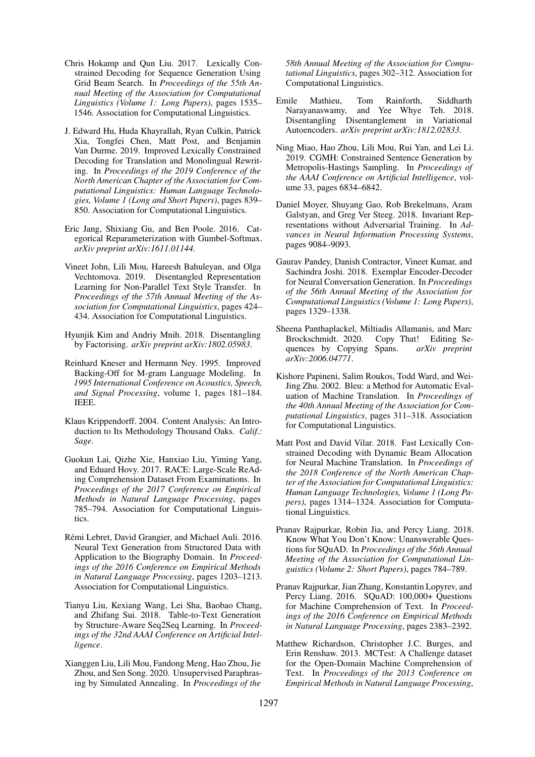- <span id="page-9-7"></span>Chris Hokamp and Qun Liu. 2017. Lexically Constrained Decoding for Sequence Generation Using Grid Beam Search. In *Proceedings of the 55th Annual Meeting of the Association for Computational Linguistics (Volume 1: Long Papers)*, pages 1535– 1546. Association for Computational Linguistics.
- <span id="page-9-11"></span>J. Edward Hu, Huda Khayrallah, Ryan Culkin, Patrick Xia, Tongfei Chen, Matt Post, and Benjamin Van Durme. 2019. Improved Lexically Constrained Decoding for Translation and Monolingual Rewriting. In *Proceedings of the 2019 Conference of the North American Chapter of the Association for Computational Linguistics: Human Language Technologies, Volume 1 (Long and Short Papers)*, pages 839– 850. Association for Computational Linguistics.
- <span id="page-9-17"></span>Eric Jang, Shixiang Gu, and Ben Poole. 2016. Categorical Reparameterization with Gumbel-Softmax. *arXiv preprint arXiv:1611.01144*.
- <span id="page-9-6"></span>Vineet John, Lili Mou, Hareesh Bahuleyan, and Olga Vechtomova. 2019. Disentangled Representation Learning for Non-Parallel Text Style Transfer. In *Proceedings of the 57th Annual Meeting of the Association for Computational Linguistics*, pages 424– 434. Association for Computational Linguistics.
- <span id="page-9-5"></span>Hyunjik Kim and Andriy Mnih. 2018. Disentangling by Factorising. *arXiv preprint arXiv:1802.05983*.
- <span id="page-9-19"></span>Reinhard Kneser and Hermann Ney. 1995. Improved Backing-Off for M-gram Language Modeling. In *1995 International Conference on Acoustics, Speech, and Signal Processing*, volume 1, pages 181–184. IEEE.
- <span id="page-9-20"></span>Klaus Krippendorff. 2004. Content Analysis: An Introduction to Its Methodology Thousand Oaks. *Calif.: Sage*.
- <span id="page-9-15"></span>Guokun Lai, Qizhe Xie, Hanxiao Liu, Yiming Yang, and Eduard Hovy. 2017. RACE: Large-Scale ReAding Comprehension Dataset From Examinations. In *Proceedings of the 2017 Conference on Empirical Methods in Natural Language Processing*, pages 785–794. Association for Computational Linguistics.
- <span id="page-9-2"></span>Rémi Lebret, David Grangier, and Michael Auli. 2016. Neural Text Generation from Structured Data with Application to the Biography Domain. In *Proceedings of the 2016 Conference on Empirical Methods in Natural Language Processing*, pages 1203–1213. Association for Computational Linguistics.
- <span id="page-9-14"></span>Tianyu Liu, Kexiang Wang, Lei Sha, Baobao Chang, and Zhifang Sui. 2018. Table-to-Text Generation by Structure-Aware Seq2Seq Learning. In *Proceedings of the 32nd AAAI Conference on Artificial Intelligence*.
- <span id="page-9-10"></span>Xianggen Liu, Lili Mou, Fandong Meng, Hao Zhou, Jie Zhou, and Sen Song. 2020. Unsupervised Paraphrasing by Simulated Annealing. In *Proceedings of the*

*58th Annual Meeting of the Association for Computational Linguistics*, pages 302–312. Association for Computational Linguistics.

- <span id="page-9-4"></span>Emile Mathieu, Tom Rainforth, Siddharth Narayanaswamy, and Yee Whye Teh. 2018. Disentangling Disentanglement in Variational Autoencoders. *arXiv preprint arXiv:1812.02833*.
- <span id="page-9-8"></span>Ning Miao, Hao Zhou, Lili Mou, Rui Yan, and Lei Li. 2019. CGMH: Constrained Sentence Generation by Metropolis-Hastings Sampling. In *Proceedings of the AAAI Conference on Artificial Intelligence*, volume 33, pages 6834–6842.
- <span id="page-9-3"></span>Daniel Moyer, Shuyang Gao, Rob Brekelmans, Aram Galstyan, and Greg Ver Steeg. 2018. Invariant Representations without Adversarial Training. In *Advances in Neural Information Processing Systems*, pages 9084–9093.
- <span id="page-9-12"></span>Gaurav Pandey, Danish Contractor, Vineet Kumar, and Sachindra Joshi. 2018. Exemplar Encoder-Decoder for Neural Conversation Generation. In *Proceedings of the 56th Annual Meeting of the Association for Computational Linguistics (Volume 1: Long Papers)*, pages 1329–1338.
- <span id="page-9-13"></span>Sheena Panthaplackel, Miltiadis Allamanis, and Marc Brockschmidt. 2020. Copy That! Editing Sequences by Copying Spans. arXiv preprint quences by Copying Spans. *arXiv:2006.04771*.
- <span id="page-9-18"></span>Kishore Papineni, Salim Roukos, Todd Ward, and Wei-Jing Zhu. 2002. Bleu: a Method for Automatic Evaluation of Machine Translation. In *Proceedings of the 40th Annual Meeting of the Association for Computational Linguistics*, pages 311–318. Association for Computational Linguistics.
- <span id="page-9-9"></span>Matt Post and David Vilar. 2018. Fast Lexically Constrained Decoding with Dynamic Beam Allocation for Neural Machine Translation. In *Proceedings of the 2018 Conference of the North American Chapter of the Association for Computational Linguistics: Human Language Technologies, Volume 1 (Long Papers)*, pages 1314–1324. Association for Computational Linguistics.
- <span id="page-9-1"></span>Pranav Rajpurkar, Robin Jia, and Percy Liang. 2018. Know What You Don't Know: Unanswerable Questions for SQuAD. In *Proceedings of the 56th Annual Meeting of the Association for Computational Linguistics (Volume 2: Short Papers)*, pages 784–789.
- <span id="page-9-0"></span>Pranav Rajpurkar, Jian Zhang, Konstantin Lopyrev, and Percy Liang. 2016. SQuAD: 100,000+ Questions for Machine Comprehension of Text. In *Proceedings of the 2016 Conference on Empirical Methods in Natural Language Processing*, pages 2383–2392.
- <span id="page-9-16"></span>Matthew Richardson, Christopher J.C. Burges, and Erin Renshaw. 2013. MCTest: A Challenge dataset for the Open-Domain Machine Comprehension of Text. In *Proceedings of the 2013 Conference on Empirical Methods in Natural Language Processing*,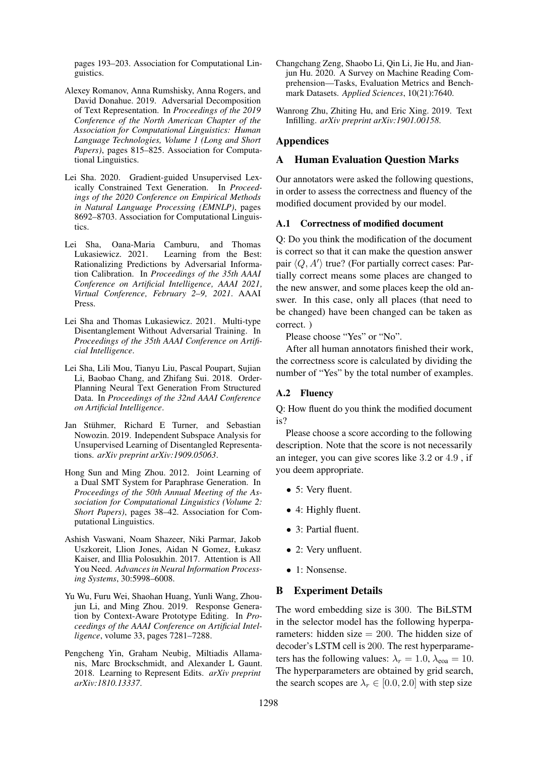pages 193–203. Association for Computational Linguistics.

- <span id="page-10-3"></span>Alexey Romanov, Anna Rumshisky, Anna Rogers, and David Donahue. 2019. Adversarial Decomposition of Text Representation. In *Proceedings of the 2019 Conference of the North American Chapter of the Association for Computational Linguistics: Human Language Technologies, Volume 1 (Long and Short Papers)*, pages 815–825. Association for Computational Linguistics.
- <span id="page-10-5"></span>Lei Sha. 2020. Gradient-guided Unsupervised Lexically Constrained Text Generation. In *Proceedings of the 2020 Conference on Empirical Methods in Natural Language Processing (EMNLP)*, pages 8692–8703. Association for Computational Linguistics.
- <span id="page-10-1"></span>Lei Sha, Oana-Maria Camburu, and Thomas Lukasiewicz. 2021. Learning from the Best: Rationalizing Predictions by Adversarial Information Calibration. In *Proceedings of the 35th AAAI* Conference on Artificial Intelligence, AAAI 2021, *Virtual Conference' February 2–9' 2021*. AAAI Press.
- <span id="page-10-4"></span>Lei Sha and Thomas Lukasiewicz. 2021. Multi-type Disentanglement Without Adversarial Training. In *Proceedings of the 35th AAAI Conference on Artificial Intelligence*.
- <span id="page-10-9"></span>Lei Sha, Lili Mou, Tianyu Liu, Pascal Poupart, Sujian Li, Baobao Chang, and Zhifang Sui. 2018. Order-Planning Neural Text Generation From Structured Data. In *Proceedings of the 32nd AAAI Conference on Artificial Intelligence*.
- <span id="page-10-2"></span>Jan Stühmer, Richard E Turner, and Sebastian Nowozin. 2019. Independent Subspace Analysis for Unsupervised Learning of Disentangled Representations. *arXiv preprint arXiv:1909.05063*.
- <span id="page-10-11"></span>Hong Sun and Ming Zhou. 2012. Joint Learning of a Dual SMT System for Paraphrase Generation. In *Proceedings of the 50th Annual Meeting of the Association for Computational Linguistics (Volume 2: Short Papers)*, pages 38–42. Association for Computational Linguistics.
- <span id="page-10-10"></span>Ashish Vaswani, Noam Shazeer, Niki Parmar, Jakob Uszkoreit, Llion Jones, Aidan N Gomez, Łukasz Kaiser, and Illia Polosukhin. 2017. Attention is All You Need. *Advances in Neural Information Processing Systems*, 30:5998–6008.
- <span id="page-10-6"></span>Yu Wu, Furu Wei, Shaohan Huang, Yunli Wang, Zhoujun Li, and Ming Zhou. 2019. Response Generation by Context-Aware Prototype Editing. In *Proceedings of the AAAI Conference on Artificial Intelligence*, volume 33, pages 7281–7288.
- <span id="page-10-7"></span>Pengcheng Yin, Graham Neubig, Miltiadis Allamanis, Marc Brockschmidt, and Alexander L Gaunt. 2018. Learning to Represent Edits. *arXiv preprint arXiv:1810.13337*.
- <span id="page-10-0"></span>Changchang Zeng, Shaobo Li, Qin Li, Jie Hu, and Jianjun Hu. 2020. A Survey on Machine Reading Comprehension—Tasks, Evaluation Metrics and Benchmark Datasets. *Applied Sciences*, 10(21):7640.
- <span id="page-10-8"></span>Wanrong Zhu, Zhiting Hu, and Eric Xing. 2019. Text Infilling. *arXiv preprint arXiv:1901.00158*.

# Appendices

#### A Human Evaluation Question Marks

Our annotators were asked the following questions, in order to assess the correctness and fluency of the modified document provided by our model.

# A.1 Correctness of modified document

Q: Do you think the modification of the document is correct so that it can make the question answer pair  $\langle Q, A' \rangle$  true? (For partially correct cases: Partially correct means some places are changed to the new answer, and some places keep the old answer. In this case, only all places (that need to be changed) have been changed can be taken as correct. )

Please choose "Yes" or "No".

After all human annotators finished their work, the correctness score is calculated by dividing the number of "Yes" by the total number of examples.

# A.2 Fluency

Q: How fluent do you think the modified document is?

Please choose a score according to the following description. Note that the score is not necessarily an integer, you can give scores like 3.2 or 4.9 , if you deem appropriate.

- 5: Very fluent.
- 4: Highly fluent.
- 3: Partial fluent.
- 2: Very unfluent.
- 1: Nonsense.

# B Experiment Details

The word embedding size is 300. The BiLSTM in the selector model has the following hyperparameters: hidden size  $= 200$ . The hidden size of decoder's LSTM cell is 200. The rest hyperparameters has the following values:  $\lambda_r = 1.0$ ,  $\lambda_{\text{eoa}} = 10$ . The hyperparameters are obtained by grid search, the search scopes are  $\lambda_r \in [0.0, 2.0]$  with step size